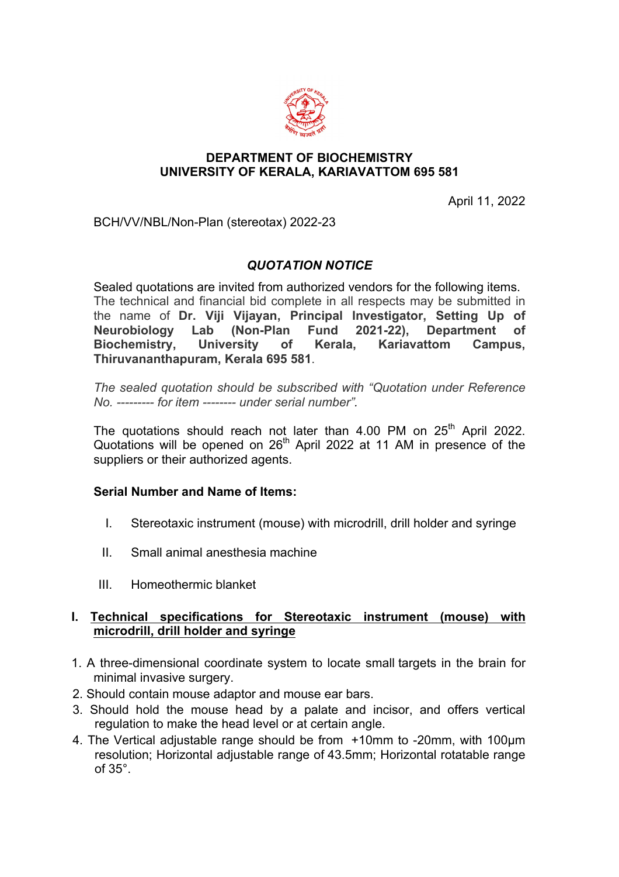

### **DEPARTMENT OF BIOCHEMISTRY UNIVERSITY OF KERALA, KARIAVATTOM 695 581**

April 11, 2022

BCH/VV/NBL/Non-Plan (stereotax) 2022-23

# *QUOTATION NOTICE*

Sealed quotations are invited from authorized vendors for the following items. The technical and financial bid complete in all respects may be submitted in the name of **Dr. Viji Vijayan, Principal Investigator, Setting Up of Neurobiology Lab (Non-Plan Fund 2021-22), Department of Biochemistry, University of Kerala, Kariavattom Campus, Thiruvananthapuram, Kerala 695 581**.

*The sealed quotation should be subscribed with "Quotation under Reference No. --------- for item -------- under serial number".* 

The quotations should reach not later than  $4.00$  PM on  $25<sup>th</sup>$  April 2022. Quotations will be opened on  $26<sup>th</sup>$  April 2022 at 11 AM in presence of the suppliers or their authorized agents.

### **Serial Number and Name of Items:**

- I. Stereotaxic instrument (mouse) with microdrill, drill holder and syringe
- II. Small animal anesthesia machine
- III. Homeothermic blanket

## **I. Technical specifications for Stereotaxic instrument (mouse) with microdrill, drill holder and syringe**

- 1. A three-dimensional coordinate system to locate small targets in the brain for minimal invasive surgery.
- 2. Should contain mouse adaptor and mouse ear bars.
- 3. Should hold the mouse head by a palate and incisor, and offers vertical regulation to make the head level or at certain angle.
- 4. The Vertical adjustable range should be from +10mm to -20mm, with 100µm resolution; Horizontal adjustable range of 43.5mm; Horizontal rotatable range of 35°.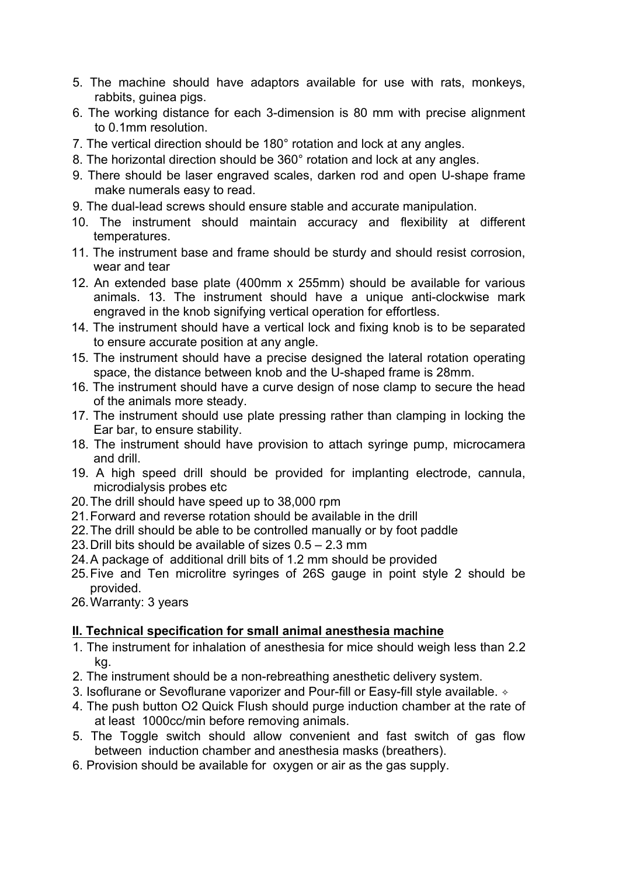- 5. The machine should have adaptors available for use with rats, monkeys, rabbits, guinea pigs.
- 6. The working distance for each 3-dimension is 80 mm with precise alignment to 0.1mm resolution.
- 7. The vertical direction should be 180° rotation and lock at any angles.
- 8. The horizontal direction should be 360° rotation and lock at any angles.
- 9. There should be laser engraved scales, darken rod and open U-shape frame make numerals easy to read.
- 9. The dual-lead screws should ensure stable and accurate manipulation.
- 10. The instrument should maintain accuracy and flexibility at different temperatures.
- 11. The instrument base and frame should be sturdy and should resist corrosion, wear and tear
- 12. An extended base plate (400mm x 255mm) should be available for various animals. 13. The instrument should have a unique anti-clockwise mark engraved in the knob signifying vertical operation for effortless.
- 14. The instrument should have a vertical lock and fixing knob is to be separated to ensure accurate position at any angle.
- 15. The instrument should have a precise designed the lateral rotation operating space, the distance between knob and the U-shaped frame is 28mm.
- 16. The instrument should have a curve design of nose clamp to secure the head of the animals more steady.
- 17. The instrument should use plate pressing rather than clamping in locking the Ear bar, to ensure stability.
- 18. The instrument should have provision to attach syringe pump, microcamera and drill.
- 19. A high speed drill should be provided for implanting electrode, cannula, microdialysis probes etc
- 20.The drill should have speed up to 38,000 rpm
- 21.Forward and reverse rotation should be available in the drill
- 22.The drill should be able to be controlled manually or by foot paddle
- 23.Drill bits should be available of sizes 0.5 2.3 mm
- 24.A package of additional drill bits of 1.2 mm should be provided
- 25.Five and Ten microlitre syringes of 26S gauge in point style 2 should be provided.
- 26.Warranty: 3 years

## **II. Technical specification for small animal anesthesia machine**

- 1. The instrument for inhalation of anesthesia for mice should weigh less than 2.2 kg.
- 2. The instrument should be a non-rebreathing anesthetic delivery system.
- 3. Isoflurane or Sevoflurane vaporizer and Pour-fill or Easy-fill style available. ✧
- 4. The push button O2 Quick Flush should purge induction chamber at the rate of at least 1000cc/min before removing animals.
- 5. The Toggle switch should allow convenient and fast switch of gas flow between induction chamber and anesthesia masks (breathers).
- 6. Provision should be available for oxygen or air as the gas supply.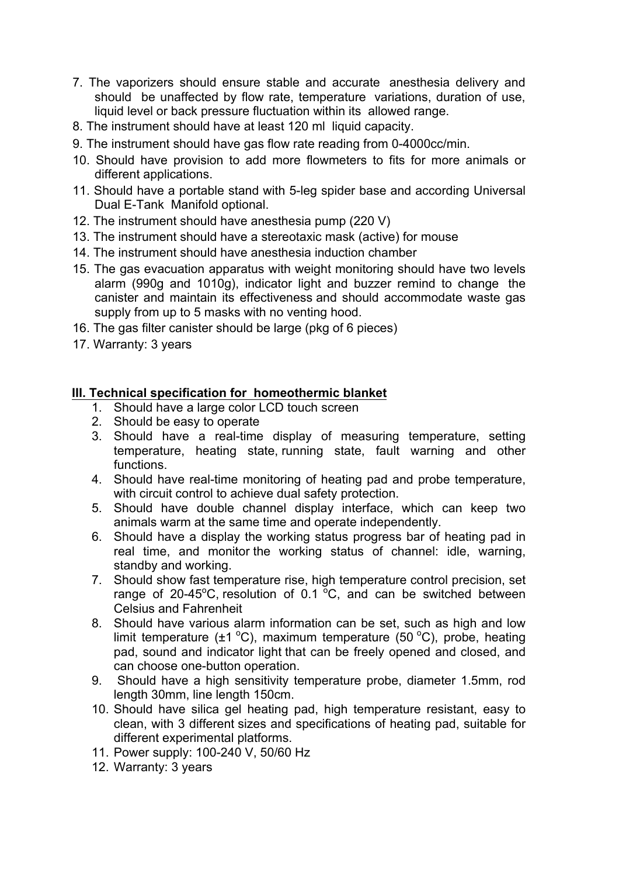- 7. The vaporizers should ensure stable and accurate anesthesia delivery and should be unaffected by flow rate, temperature variations, duration of use, liquid level or back pressure fluctuation within its allowed range.
- 8. The instrument should have at least 120 ml liquid capacity.
- 9. The instrument should have gas flow rate reading from 0-4000cc/min.
- 10. Should have provision to add more flowmeters to fits for more animals or different applications.
- 11. Should have a portable stand with 5-leg spider base and according Universal Dual E-Tank Manifold optional.
- 12. The instrument should have anesthesia pump (220 V)
- 13. The instrument should have a stereotaxic mask (active) for mouse
- 14. The instrument should have anesthesia induction chamber
- 15. The gas evacuation apparatus with weight monitoring should have two levels alarm (990g and 1010g), indicator light and buzzer remind to change the canister and maintain its effectiveness and should accommodate waste gas supply from up to 5 masks with no venting hood.
- 16. The gas filter canister should be large (pkg of 6 pieces)
- 17. Warranty: 3 years

## **III. Technical specification for homeothermic blanket**

- 1. Should have a large color LCD touch screen
- 2. Should be easy to operate
- 3. Should have a real-time display of measuring temperature, setting temperature, heating state, running state, fault warning and other functions.
- 4. Should have real-time monitoring of heating pad and probe temperature, with circuit control to achieve dual safety protection.
- 5. Should have double channel display interface, which can keep two animals warm at the same time and operate independently.
- 6. Should have a display the working status progress bar of heating pad in real time, and monitor the working status of channel: idle, warning, standby and working.
- 7. Should show fast temperature rise, high temperature control precision, set range of 20-45°C, resolution of 0.1  $^{\circ}$ C, and can be switched between Celsius and Fahrenheit
- 8. Should have various alarm information can be set, such as high and low limit temperature ( $\pm$ 1 °C), maximum temperature (50 °C), probe, heating pad, sound and indicator light that can be freely opened and closed, and can choose one-button operation.
- 9. Should have a high sensitivity temperature probe, diameter 1.5mm, rod length 30mm, line length 150cm.
- 10. Should have silica gel heating pad, high temperature resistant, easy to clean, with 3 different sizes and specifications of heating pad, suitable for different experimental platforms.
- 11. Power supply: 100-240 V, 50/60 Hz
- 12. Warranty: 3 years